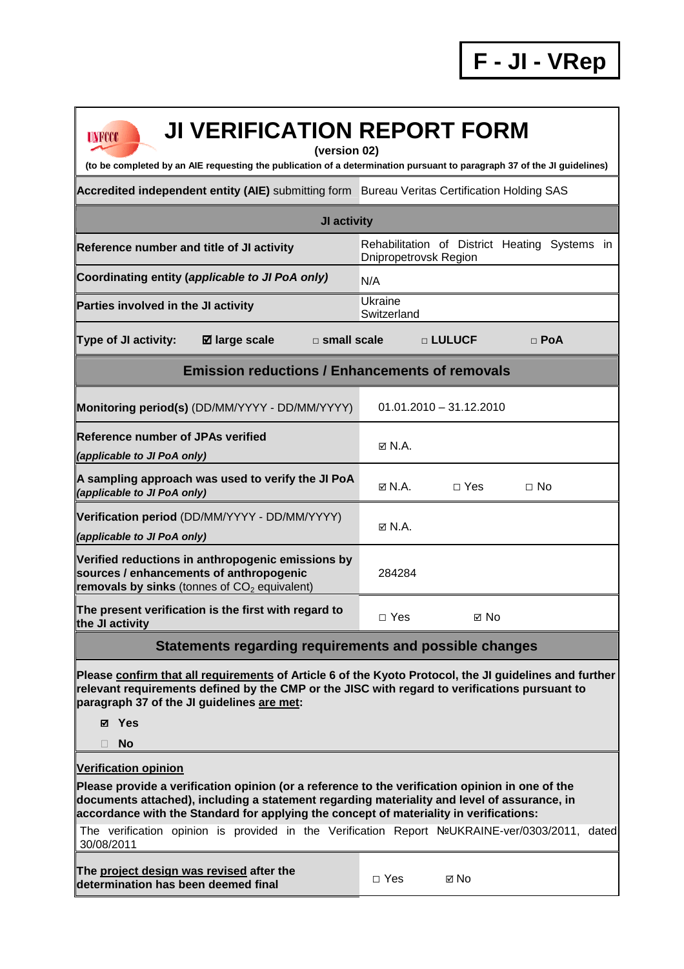| <b>UNFCCC</b> |  |
|---------------|--|

## **JI VERIFICATION REPORT FORM**

**(version 02)** 

**(to be completed by an AIE requesting the publication of a determination pursuant to paragraph 37 of the JI guidelines)** 

**Accredited independent entity (AIE)** submitting form Bureau Veritas Certification Holding SAS

| JI activity                                                                                                                                    |                                                                        |  |  |  |  |
|------------------------------------------------------------------------------------------------------------------------------------------------|------------------------------------------------------------------------|--|--|--|--|
| Reference number and title of JI activity                                                                                                      | Rehabilitation of District Heating Systems in<br>Dnipropetrovsk Region |  |  |  |  |
| Coordinating entity (applicable to JI PoA only)                                                                                                | N/A                                                                    |  |  |  |  |
| Parties involved in the JI activity                                                                                                            | Ukraine<br>Switzerland                                                 |  |  |  |  |
| <b>Ø</b> large scale<br><b>Type of JI activity:</b>                                                                                            | $\Box$ small scale<br>□ LULUCF<br>$\Box$ PoA                           |  |  |  |  |
| <b>Emission reductions / Enhancements of removals</b>                                                                                          |                                                                        |  |  |  |  |
| Monitoring period(s) (DD/MM/YYYY - DD/MM/YYYY)                                                                                                 | $01.01.2010 - 31.12.2010$                                              |  |  |  |  |
| <b>Reference number of JPAs verified</b><br>(applicable to JI PoA only)                                                                        | M N.A.                                                                 |  |  |  |  |
| A sampling approach was used to verify the JI PoA<br>(applicable to JI PoA only)                                                               | M N.A.<br>$\Box$ Yes<br>$\Box$ No                                      |  |  |  |  |
| Verification period (DD/MM/YYYY - DD/MM/YYYY)<br>(applicable to JI PoA only)                                                                   | $\boxtimes$ N.A.                                                       |  |  |  |  |
| Verified reductions in anthropogenic emissions by<br>sources / enhancements of anthropogenic<br>removals by sinks (tonnes of $CO2$ equivalent) | 284284                                                                 |  |  |  |  |
| The present verification is the first with regard to<br>the JI activity                                                                        | $\Box$ Yes<br>⊠ No                                                     |  |  |  |  |
| Statements regarding requirements and possible changes                                                                                         |                                                                        |  |  |  |  |
|                                                                                                                                                |                                                                        |  |  |  |  |

**Please confirm that all requirements of Article 6 of the Kyoto Protocol, the JI guidelines and further relevant requirements defined by the CMP or the JISC with regard to verifications pursuant to paragraph 37 of the JI guidelines are met:** 

- **Yes**
- **No**

**Verification opinion**

**Please provide a verification opinion (or a reference to the verification opinion in one of the documents attached), including a statement regarding materiality and level of assurance, in accordance with the Standard for applying the concept of materiality in verifications:** 

The verification opinion is provided in the Verification Report №UKRAINE-ver/0303/2011, dated 30/08/2011

**The project design was revised after the determination has been deemed final** □ Yes 
□ No